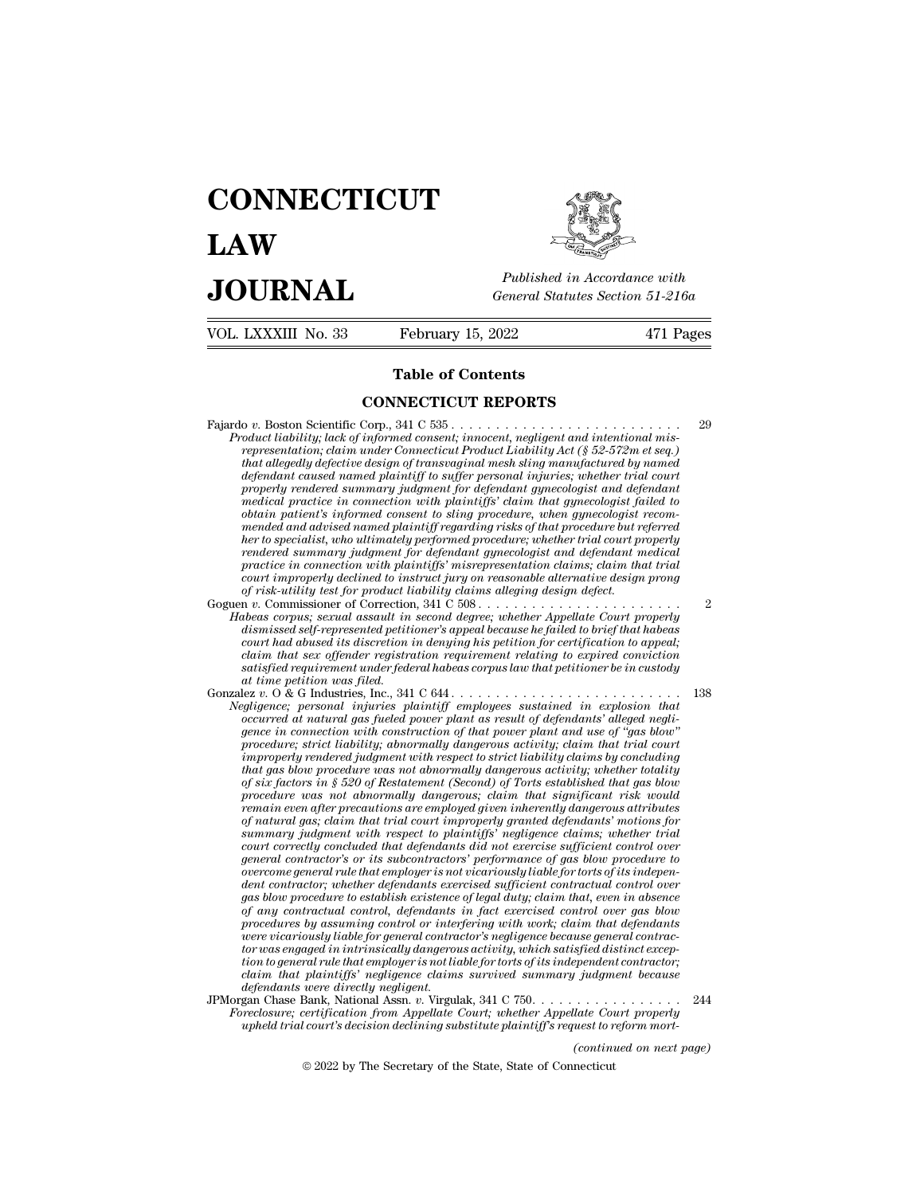# **CONNECTICUT LAW PUBLICE CONNECTICUT**<br> **Published in Accordance with**<br> **JOURNAL** *General Statutes Section 51-216a*<br> **Published in Accordance with**  $\begin{array}{cc}\n\textbf{LAW} & \overbrace{\overbrace{\overbrace{\overline{\textbf{E}}\textbf{W}}\textbf{W}}^{public}} \\
\textbf{JOL RNAL} & \textit{Published in According to the General Statistics Section 51-216a} \\
\hline\n\text{VOL LXXXIII No. 33} & \text{February 15, 2022} & \text{471 Pages}\n\end{array}$



| <b>JOURNAL</b>      | Published in Accordance with<br>General Statutes Section 51-216a                               |           |
|---------------------|------------------------------------------------------------------------------------------------|-----------|
| VOL. LXXXIII No. 33 | February 15, 2022                                                                              | 471 Pages |
|                     | <b>Table of Contents</b>                                                                       |           |
|                     | <b>CONNECTICUT REPORTS</b>                                                                     |           |
|                     | $D_{20}$ deed lightliter lagle of informed governot improved $m$ onlineat and intentional mig. | 29        |

Fajardo *<sup>v</sup>*. Boston Scientific Corp., 341 C 535 . . . . . . . . . . . . . . . . . . . . . . . . . . <sup>29</sup> **Product Conserved Conserved Conserved Conserved Conserved Conserved Conserved Conserved Conserved Conserved Conserved Consent; innocent, inegligent and intentional mis-<br>***Product liability; lack of informed consent; innoce representation; claim under Connecticut Product Liability Act (§ 52-572m et seq.)* **that allegedly defective design of that allegedly defective design of that allegedly defective design of transvaginal mesh sling manufactured by named that allegedly defective design of transvaginal mesh sling manufacture defendant computer CONNECTICUT REPORTS**<br> **duct liability;** lack of informed consent; innocent, negligent and intentional mis-<br> *representation; claim under Connecticut Product Liability Act* ( $\S$  52-572m et seq.)<br> *that properly rendered summary judgment for defendant gynecologist and defendant medical practice in connection with plaintiffs' claim that gynecologist failed to obtain patient's informed consent to sling procedure, when gynecologist recom*oduct luability; lack of informed consent; innocent, negligent and intentional mis-<br>representation; claim under Connecticut Product Liability Act (§ 52-572m et seq.)<br>that allegedly defective design of transvaginal mesh sli *representation; claim under Connecticut Product Laability Act (§ 52-572m et seq.)*<br>that allegedly defective design of transvaginal mesh sling manufactured by named<br>defendant caused named plaintiff to suffer personal injur *rendered summary defective design of transvaginal mesh sling manufactured by named*<br>defendant caused named plaintiff to suffer personal injuries; whether trial court<br>properly rendered summary judgment for defendant gyneco *properly rendered summary judgment for defendant gynecologist and defendant* medical practice in connection with plaintiffs' claim that gynecologist failed to obtain patient's informed consent to sling procedure, when gyn property rendered summary judgment for defendant gynecologist and defendant<br>medical practice in connection with plaintiffs' claim that gynecologist failed to<br>obtain patient's informed consent to sling procedure, when gynec medical practice in connection with plaintiffs' claim that gynecologist ja<br>botain patient's informed consent to sling procedure, when gynecologist i<br>mended and advised named plaintiff regarding risks of that procedure but obtain patient's informed consent to sting procedure, when gynecologist recom-<br>mended and advised named plaintiff regarding risks of that procedure but referred<br>her to specialist, who ultimately performed procedure; whethe mended and advised named plaintiff regarding risks of that procedure but referred<br>her to specialist, who ultimately performed procedure; whether trial court properly<br>readered summary judgment for defendant gynecologist and *dismissed self-represented performed procedure; whether trad court property*<br>predicte in connection with plaintiffs' misrepresentation claims; claim that trial<br>practice in connection with plaintiffs' misrepresentation cla

- *court improperty pudgment for defendant gynecologist and defendant medical practice in connection with plaintiffs' misrepresentation claims; claim that trial court improperly declined to instruct jury on reasonable altern* practice in connection with plaintiffs' misrepresentation claims; claim that trial<br>court improperly declined to instruct jury on reasonable alternative design prong<br>of risk-utility test for product liability claims allegin *sourt improperty dectined to instruct jury on reasonable atternative design prong*<br>*of risk-utility test for product liability claims alleging design defect.*<br>*n v. Commissioner of Correction, 3A1 C 508................... at rusk-utututy test for product lubeas corpussioner of Correction<br>beas corpus; sexual assault in dismissed self-represented petitic<br>court had abused its discretion in claim that sex offender registra<br>satisfied requiremen* Gonzalez *<sup>v</sup>*. O & G Industries, Inc., 341 C 644 . . . . . . . . . . . . . . . . . . . . . . . . . . <sup>138</sup> *Habeas corpus; sexual assault in second degree; whether Appellate Court property*<br>dismissed self-represented petitioner's appeal because he failed to brief that habeas<br>court had abused its discretion in denying his petiti *occurred at natural gas fueled power plant as resulted to oriel that habeas*<br> *court had abused its discretion in denying his petition for certification to appeal;*<br> *catins that sex offender registration requirement rela*
- *gence in that sext of the denitying this petition for certification to appeal;*<br> *gence in that sex offender registration requirement relating to expired conviction*<br> *gatisfied requirement under federal habeas corpus law procedure; strict liability; abnormally dangerous activity; about the petitioner be in custody* at time petition was filed.<br>Files the petition was filed that the petitioner be in custody at time petitioner be in custody a *improperly rendered judgment with respect to strict liability claims by concluding that gas blow procedure was not abnormally dangerous activity; whether totality of six factors in § 520 of Restatement (Second) of Torts established that gas blow processalure was not interemption in the member of defendants' alleged negligionered at natural gas fueled power plant as result of defendants' alleged negligioner in connection with construction of that power plant and u occurred at natural gas fueled power plant as result of defendants' alleged neghrane in connection with construction of that power plant and use of "gas blow" procedure; strict liability; claim is precedure; strict liabil gence in connection with construction of that power plant and use of "gas blow"*<br>procedure; strict liability; abnormally dangerous activity; claim that trial court<br>improperly rendered judgment with respect to strict liabi *procedure; strict liability; abnormally dangerous activity; claim that trial court*<br>improperly rendered judgment with respect to strict liability claims by concluding<br>that gas blow procedure was not abnormally dangerous a *comproperty rendered judgment with respect to strict liability claims by concluding*<br>that gas blow procedure was not abnormally dangerous activity; whether totality<br>of six factors in § 520 of Restatement (Second) of Torts *general contractor's in § 520 of Restatement (Second) of Torts established that gas blow* procedure was not abnormally dangerous activity; whether totality and procedure was not abnormally dangerous; claim that significan *of sux factors in § 520 of Restatement (Second) of Torts established that gas blow*<br>procedure was not abnormally dangerous; claim that significant risk would<br>remain even after precautions are employed given inherently dan procedure was not abnormally dangerous; clarm that sugnificant risk would<br>remain even after precautions are employed given inherently dangerous attributes<br>of natural gas; claim that trial court improperly granted defendant *general were after precautions are employed given inherently dangerous attributes*<br>of natural gas; claim that trial court improperly granted defendants' motions for<br>summary judgment with respect to plaintiffs' regligence *of natural gas; claim that trial court improperty granted defendants' motions for*<br>summary judgment with respect to plaintiffs' negligence claims; whether trial<br>court correctly concluded that defendants did not exercise s *promatry judgment with respect to planntiffs' negligence clarms; whether trad* court correctly concluded that defendants did not exercise sufficient control over general contractor's or its subcontractors' performance of *were court correctly concluded that defendants did not exercise sufficient control over*<br>*general contractor's or its subcontractors' performance of gas blow procedure to*<br>*overcome general rule that employer is not vicar general contractor's or its subcontractors' performance of gas blow procedure to*<br>*overcome general rule that employer is not vicariously liable for torts of its independent contractor; whether defendants exercised suffic* overcome general rule that employer is not incariously hable for torts of its independent contractor; whether defendants exercised sufficient contractual control over<br>gas blow procedure to establish existence of legal duty *chara contractor; whether defendants exercised sufficient contractual control over*<br>gas blow procedure to establish existence of legal duty; claim that, even in absence<br>of any contractual control, defendants in fact exerc *gas blow procedure to establish existence*<br>of any contractual control, defendants<br>procedures by assuming control or inter-<br>were vicariously liable for general contrator<br>was engaged in intrinsically dangerou<br>tion to genera of any contractual control, agendants in fact exercised control over gas blow<br>procedures by assuming control or interfering with work; claim that defendants<br>were vicariously liable for general contractor's negligence becau procedures by assuming control or interfering with work; claim that defendants<br>were vicariously liable for general contractor's negligence because general contrac-<br>torwas engaged in intrinsically dangerous activity, which *upere vicariously hable for general contractor's negligence because general contractor was engaged in intrinsically dangerous activity, which satisfied distinct exception to general rule that employer is not liable for to (continued page)*<br>*(continued because)*<br>*(continued on next page)*<br>*(continued on next page)*<br>**(continued on next page)**<br>**necticut**
- 2022 by The Secretary of the State, State of Connecticut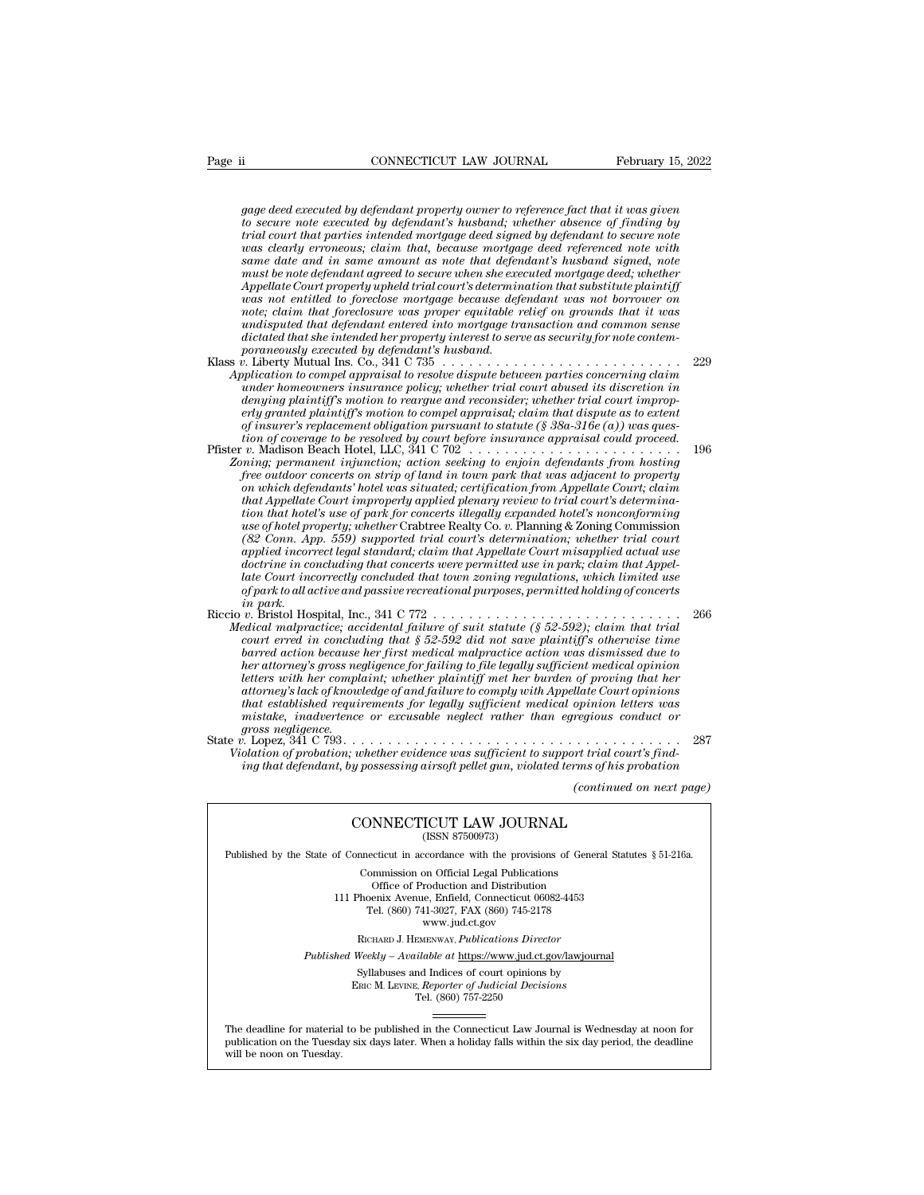*gage deed executed by defendant property owner to reference fact that it was given*<br>to secure note executed by defendant's husband; whether absence of finding by<br>trial court that parties intended mortagge deed signed by d *to secure note is secured by defendant property owner to reference fact that it was given*<br>*to secure note executed by defendant property owner to reference fact that it was given<br>trial court that parties interabel mortga* Page ii **that court that CONNECTICUT LAW JOURNAL** February 15, 2022<br> *gage deed executed by defendant property owner to reference fact that it was given*<br> *to secure note executed by defendant's husband; whether absence of was commetation in the commetation commetation is a compared to secure note executed by defendant property owner to reference fact that it was given to secure note executed by defendant's husband; whether absence of findi* gage deed executed by defendant property owner to reference fact that it was given<br>to secure note executed by defendant's husband; whether absence of finding by<br>trial court that parties intended mortgage deed signed by def *gage deed executed by defendant property owner to reference fact that it was given<br>to secure note executed by defendant's husband; whether absence of finding by<br>trial court that parties intended mortgage deed signed by de Appel deed executed by defendant property owner to reference fact that it was given*<br>to secure note executed by defendant's husband; whether absence of finding by<br>trial court that parties intended mortgage deed signed by gage deed executed by defendant property owner to reference fact that it was given<br>to secure note executed by defendant's husband; whether absence of finding by<br>trial court that parties intended mortgage deed signed by def *note executed by defendant's husband; whether absence of finding by* trial court that parties intended mortgage deed signed by defendant to secure note was clearly erroneous; claim that, because mortgage deed referenced n *und court that parties intended mortgage deed signed by defendant to secure note* was clearly erroneous; claim that, because mortgage deed referenced note with same amount as note that defendant is husband signed, note mu *diameter and in same amount as note that defendant's husband signed, note* with same date and in same amount as note that defendant's husband signed, note must be note defendant agreed to secure when she executed mortgage *poraneouslame date and in same amount as note that defendant agreed to secure when she executed by appellate Court properly upheld trial court's determining Appellate was proper equitable rundisputed that defendant entere* must be note defendant agreed to secure when she executed mortgage deed; whether<br>Appellate Court properly upheld trial court's determination that substitute plaintiff<br>was not enittled to foreclose mortgage because defendan *Appellate Court properly upheld trial court's determination that substitute plaintiff*<br>was not entitled to foreclose mortgage because defendant was not borrower on<br>note; claim that foreclosure was proper equitable relief *unds not entitled to foreclose mortgage because defendant was not borrower on*<br> *undisputed that defendant entered into mortgage transaction and common sense<br>
undisputed that defendant entered into mortgage transaction an* 

- *note; claim that foreclosure was proper equitable relief on grounds that it was*<br>*undisputed that defendant entered into mortgage transaction and common sense<br>dictated that she intended her property interest to serve as s erly granted that defendant entered into mortgage transaction and common sense*<br>*endicated that she intended her property interest to serve as security for note contem-<br>poraneously executed by defendant's husband.*  $\alpha$  *in of insurer's replacement obligation pursuant to statute (§ 38a-316e (a)) was ques*poraneously executed by defendant's husband.<br> *tion is complemential instant* complement in the resolved is the resolved in the concerning claim<br> *time homeowners insurance policy; whether trial court abused its discretion* XIass *v*. Liberty Mutual Ins. Co., 341 C 735<br>
Application to compel appraisal to resolve dispute between parties concerning claims<br>
under homeoweres insurance policy; whether trial court abused its discretion in<br>
denying *Application to compel appraisal to resolve dispute between parties concerning claim*<br> *ander homeowners insurance policy; whether trial court abused its discretion in*<br> *denying plaintiff's motion to compel appraisal; cla free in the measures insurance policy; whether trial court abused its discretion in*<br>*fenying plaintiff's motion to reargue and reconsider; whether trial court improp-*<br>*free pranted plaintiff's motion to compel appraisal*
- *denying plaintiff's motion to reargue and reconsider; whether trial court improperly granted plaintiff's motion to compel appraisal; claim that dispute as to extent of insurer's replacement obligation pursuant to statute that Appellate Court improperly approaisal; claim that dispute as to extent* of insurer's replacement obligation pursuant to statute (§ 38a-316e (a)) was question of coverage to be resolved by court before insurance appro *tof insurer's replacement obligation pursuant to statute (§ 38a-316e (a)) was question of coverage to be resolved by court before insurance appraisal could proceed.<br>*  $v$ *. Madison Beach Hotel, LLC, 341 C 702<br>
<i>timg*, perma *use of hotel property; whether* Crabtree Realty Co. *v.* Planning & Zoning Commission *(82 Conn. App. 559) supported trial court's determination; whether trial court applied incorrects on strip of land in town park that was adjacent to property*<br>*applied incorrects on strip of land in town park that was adjacent to property*<br>*applied that Appellate Court improperty applied plenary rev differed transits on strip of land in town park that was adjacent to property* on which defendants' hotel was situated; certification from Appellate Court; claim that Appellate Court improperly applied plenary review to t on which defendants' hotel was situated; certification from Appellate Court; claim<br>that Appellate Court improperly applied plenary review to trial court's determina-<br>tion that hotel's use of park for concerts illegally exp *that Appellate Court improperty applied plenary review to trial court's determination that hotel's use of park for concerts illegally expanded hotel's nonconforming use of hotel property; whether Crabtive Realty Co. v. P is a geoff hotel property; whether Crabtree Realty Co. v. Planning & Zoning Commission*<br>
(82 *Conn. App. 559) supported trial court's determination; whether trial court*<br> *applied incorrect legal standard; claim that Appe* use of hotel property; whether Crabtree Realty Co. v. Planning & Zoning Commission<br>
(82 Conn. App. 559) supported trial court's determination; whether trial court<br>
applied incorrect legal standard; claim that Appellate Cou *(82 Conn. App. 559) supported trial court's determination; whether trial court applied incorrect legal standard; claim that Appellate Court misapplied actual use doctrine in concluding that concerts were permitted use of court in convect legal standard; claim that Appellate Court misapplied actual use*<br>doctrine in concluding that concerts were permitted use in park; claim that Appel-<br>late Court incorrectly concluded that town zoning regul
- *bactrine in concluding that concerts were permitted use in park; claim that Appelate Court incorrectly concluded that town zoning regulations, which limited use of park to all active and passive recreational purposes, per hate Court incorrectly concluded that town zoning regulations, which limited use*<br>of park to all active and passive recreational purposes, permitted holding of concerts<br>in park.<br>v. Bristol Hospital, Inc., 341 C 772<br>v. Bri *letters with all active and passive recreational purposes, permitted holding of concerts*<br> *in park.*<br> *letters with Hospital, Inc., 341 C 772*<br> *letters with her complaints of suit statute (§ 52-592); claim that trial*<br> *atterney in park.*<br> *atterney atterney accidental failure of suit statute (§ 52-592); claim that trial*<br> *adical malpractice; accidental failure of suit statute (§ 52-592); claim that trial*<br> *court erred in concluding th that established requirements for legally sufficient medical opinion letters was malpractice; accidental jailure of suit statute (§ 52-592); claim that trial court erred in concluding that § 52-592 did not save plaintiff's otherwise time barred action because her first medical malpractice action was d ground erred in conclude barred action because*<br>*barred action because*<br>*letters with her complet<br>attorney's lack of knows<br>that established requinistake, inadvertence<br>gross negligence.<br>b. Lopez, 341 C 793...<br>blation of pr* barred action because her first medical malpractice action was dismissed due to<br>her attorney's gross negligence for failing to file legally sufficient medical opinion<br>letters with her complaint; whether plaintiff met her b *Pierre attorney's gross negligence for failing to file legally sufficient medical opinion*<br> *Vietner with her complaint; whether plaintiff met her burden of proving that her*<br> *Attorney's lack of knowledge of and failure ing tetters with her complaint; whether plaintiff met her burden of proving that her*<br>attorney's lack of knowledge of and failure to comply with Appellate Court opinions<br>that established requirements for legally sufficien *(continued text page)*<br>*(continued on next page)*<br>*(continued on next page)*<br>*(continued on next page)*

ce or excusable neglect rather than egregious cond<br>
whether evidence was sufficient to support trial court<br>
y possessing airsoft pellet gun, violated terms of his pro<br>
(continued of<br>
CONNECTICUT LAW JOURNAL<br>
(ISSN 87500973 ing that defendant, by possessing airsoft pellet gun, violated terms of his probation<br>(continued on next<br>CONNECTICUT LAW JOURNAL<br>(ISSN 87500973)

Published by the State of Connecticut in accordance with the provisions of General Statutes § 51-216a. CONNECTICUT LAW JOURNAL<br>
(ISSN 87500973)<br>
inecticut in accordance with the provisions of Gener<br>
Commission on Official Legal Publications<br>
Office of Production and Distribution<br>
office of Production and Distribution

**NNECTICUT LAW JOURNAL**<br>
(ISSN 87500973)<br>
cticut in accordance with the provisions of Gener<br>
mmission on Official Legal Publications<br>
Office of Production and Distribution<br>
centra Avenue, Enfield, Connecticut 06082-4453<br>
b CONNECTICUT LAW JOURNAL<br>
(ISSN 87500973)<br>
of Connecticut in accordance with the provisions of General Statu<br>
Commission on Official Legal Publications<br>
Office of Production and Distribution<br>
111 Phoenix Avenue, Enfield, Co (ISSN 87500973)<br>ecticut in accordance with the provisions of Gener<br>ommission on Official Legal Publications<br>Office of Production and Distribution<br>oenix Avenue, Enfield, Connecticut 06082-4453<br>Tel. (860) 741-3027, FAX (860 reordance with the provision<br>on Official Legal Publication<br>roduction and Distribution<br>e, Enfield, Connecticut 06<br>11-3027, FAX (860) 745-21'<br>www.jud.ct.gov<br>zENWAY, *Publications Dire* Rommission on Official Legal Publications<br>
Office of Production and Distribution<br>
Phoenix Avenue, Enfield, Connecticut 06082-4453<br>
Tel. (860) 741-3027, FAX (860) 745-2178<br>
www.jud.ct.gov<br>
RICHARD J. HEMENWAY, *Publications* Office of Production and Distribution<br>
111 Phoenix Avenue, Enfield, Connecticut 06082-4453<br>
Tel. (860) 741-3027, FAX (860) 745-2178<br>
www.jud.ct.gov<br>
RICHARD J. HEMENWAY, *Publications Director*<br> *Published Weekly – Availab* Phoenix Avenue, Enfield, Connecticut 06082-4453<br>
Tel. (860) 741-3027, FAX (860) 745-2178<br>
www.jud.ct.gov<br>
RICHARD J. HEMENWAY, *Publications Director*<br>
Weekly – Available at <u>https://www.jud.ct.gov/lawjourna</u><br>
Syllabuses a

 $\begin{array}{c} \text{www. jud.ct.gov} \\ \text{RICHARD J. HEMENTway, *Publications Director} \\ \text{Weekly -- Available at \underline{https://www.jud.ct.gov/}{\text{Syllabuses and Indices of court opinions by} \\ \text{Enc}\text{ M. LexING. } \text{Reporter of \text{Judicial Decisions} \\ \text{Tel. } (860) 757-2250 \end{array}*$ 

Published Weekly – Available at https://www.jud.ct.gov/lawjournal<br>Syllabuses and Indices of court opinions by<br>ERIC M. LEVINE, Reporter of Judicial Decisions<br>The deadline for material to be published in the Connecticut Law  $\begin{tabular}{l} \bf Syllabuses\ and\ Indices\ of\ court\ opinions\ by\\ \bf Enc\ M.\ LevINE,\ \textit{Reporter of\ Judicial\ Decisions}\\ \bf Tel.\ (860)\ 757-2250\\ \end{tabular}$  <br> The deadline for material to be published in the Connecticut Law Journal is Wednesday at noon for publication on the Tuesday six days later The deadline for material<br>publication on the Tuesday.<br>will be noon on Tuesday.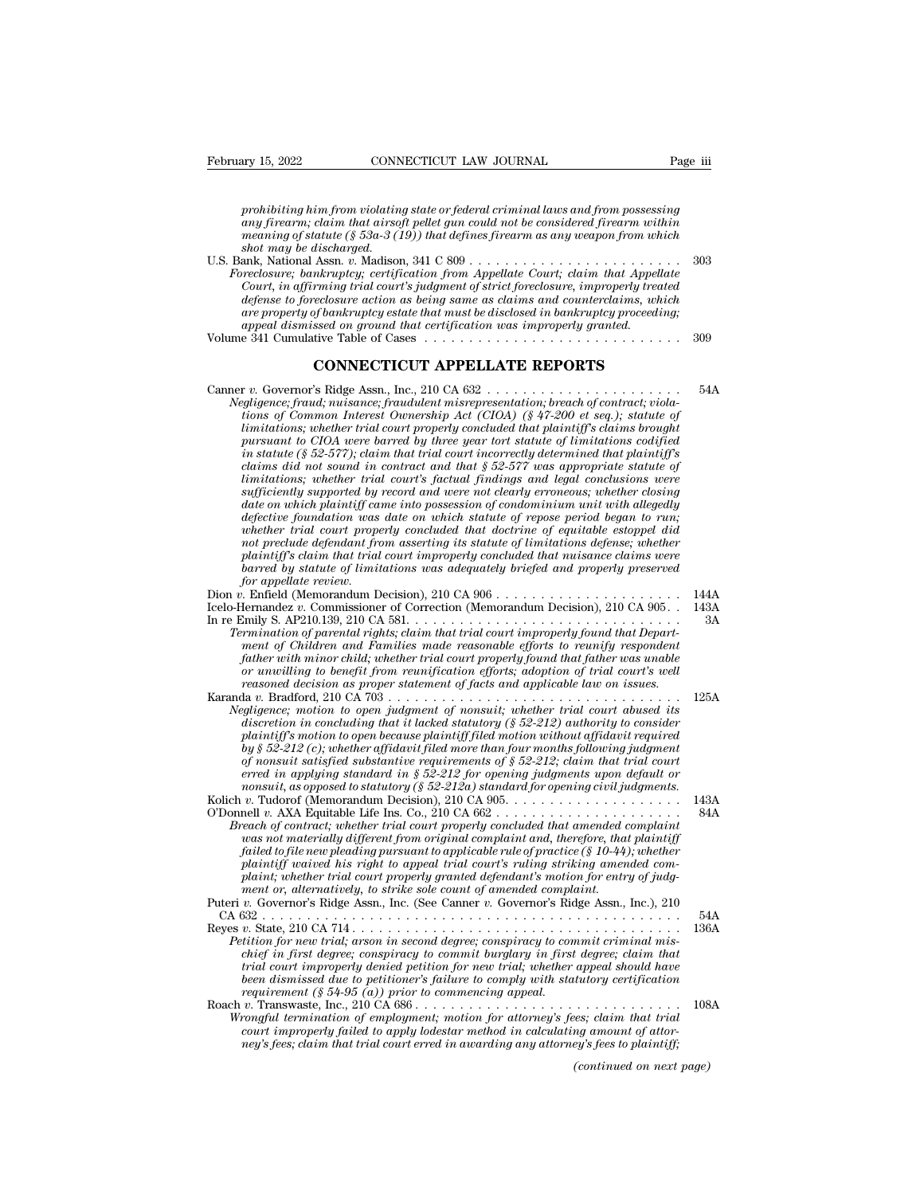*prohibiting him from violating state or federal criminal laws and from possessing*<br>*prohibiting him from violating state or federal criminal laws and from possessing*<br>*any firearm; claim that airsoft pellet gun could not any 15, 2022* **a** *cONNECTICUT LAW JOURNAL Page iii*<br>*aprohibiting him from violating state or federal criminal laws and from possessing*<br>*any firearm; claim that airsoft pellet gun could not be considered firearm withi meaning of statute (§ 53a-3 (19)) that defines firearm as and from possessing*<br>*meaning him from violating state or federal criminal laws and from possessing*<br>*any firearm; claim that airsoft pellet gun could not be consi shoth time is a comment to the probibiting him from violating*<br>*any firearm; claim that airsoj*<br>*shot may be discharged.*<br>*shot may be discharged.*<br>*ank, National Assn. v. Madisor*<br>*rreclosure: bankrunteu: certifi* prohibiting him from violating state or federal criminal laws and from possessing<br>any firearm; claim that airsoft pellet gun could not be considered firearm within<br>meaning of statute (§ 53a-3 (19)) that defines firearm as *meaning of statute* (§ 53a-3  $(19)$ ) that defines firearm as any weapon from which shot may be discharged.

| prohibiting him from violating state or federal criminal laws and from possessing<br>any firearm; claim that airsoft pellet gun could not be considered firearm within<br>meaning of statute (§ 53a-3 (19)) that defines firearm as any weapon from which<br>shot may be discharged. |      |
|--------------------------------------------------------------------------------------------------------------------------------------------------------------------------------------------------------------------------------------------------------------------------------------|------|
|                                                                                                                                                                                                                                                                                      | 303  |
| Foreclosure; bankruptcy; certification from Appellate Court; claim that Appellate                                                                                                                                                                                                    |      |
| Court, in affirming trial court's judgment of strict foreclosure, improperly treated                                                                                                                                                                                                 |      |
| defense to foreclosure action as being same as claims and counterclaims, which                                                                                                                                                                                                       |      |
| are property of bankruptcy estate that must be disclosed in bankruptcy proceeding;<br>appeal dismissed on ground that certification was improperly granted.                                                                                                                          |      |
|                                                                                                                                                                                                                                                                                      | -309 |
| <b>CONNECTICUT APPELLATE REPORTS</b>                                                                                                                                                                                                                                                 |      |
| Negligence; fraud; nuisance; fraudulent misrepresentation; breach of contract; viola-<br>tions of Common Interest Ownership Act (CIOA) (§ 47-200 et seq.); statute of                                                                                                                | 54A  |

*Negled dismissed on ground that certification was improperly granted.*<br>
In a 341 Cumulative Table of Cases<br> **Negligence; fraudulent misrepresentation; breach of contract; viola-**<br> *Negligence; fraud, nuisance; fraudulent tions of Common Interest Ownership Act (CIOA) (§ 47-200 et seq.); statute of limitations; whether trial court properly concluded that plaintiff's claims brought* **CONNECTICUT APPELLATE REPORTS**<br> *pursuant to CIOA were based by three year tort statute of contract, viola-<br>
ions of Common Interest Ownership Act (CIOA) (§ 47-200 et seq.); statute of<br>
limitations; whether trial court p in statute (§ 52-577); claim that trial court incorrectly determined that plaintiff's claims did not source in the missance; fraudulent misrepresentation; breach of contract, violations of Common Interest Ownership Act (CIOA) (§ 47-200 et seq.); statute of limitations; whether trial court properly conclude limitations; whether trial court in the set of contract; violations; of Common Interest Ownership Act (CIOA) (§ 47-200 et seq.); statute of tions of Common Interest Ownership Act (CIOA) (§ 47-200 et seq.); statute of tim sufficiently supported by reach missure in the clearly Act* (CIOA) (§ 47-200 et seq.); statute of the mistions; whether trial court properly concluded that plaintions; whether trial court properly concluded that plaintiff *date on which the trial court properly concluded that plaintiffs claims brought imitations; whether trial court properly concluded that plaintiffs claims brought pursuant to CIOA were barred by three year tort statute of dimitations; whether trial court property concluded that plaintiff's claims brought* pursuant to CIOA were barred by three year tort statute of limitations codified in statute (§ 52-577); claim that trial court incorrectl pursuant to CIOA were barred by three year tort statute of lumitations codified<br>in statute (§ 52-577); claim that trial court incorrectly determined that plaintiff's<br>claims did not sound in contract and that § 52-577 was a *in statute (§ 52-577); clarm that trial court incorrectly determined that plaintyf's*<br>claims did not sound in contract and that § 52-577 was appropriate statute of<br>limitations; whether trial court's factual findings and l *limitations; whether trial court's factual findings and legal conclusions were* sufficiently supported by record and were not clearly erroneous; whether closing date on which plaintiff came into possession of condominium *barred by recepter trading conclusions were*<br> *barred by record and were not clearly erroneous; whether closing<br>
defective foundation was date on which statute of repose period began to run;<br>
whether trial court properly date on which plaintiff came into possession of condominium unit with allegedly defective foundation was date on which statute of repose period began to run; whether trial court properly concluded that doctrine of equitab* aate on which plaintiff came into possession of condominium unit with allegeaty<br>defective foundation was date on which statute of repose period began to run;<br>whether trial court properly concluded that doctrine of equitabl defective foundation was date on which statute of repose period began to run;<br>whether trial court properly concluded that doctrine of equitable estoppel did<br>not preclude defendant from asserting its statute of limitations Final country of the defendant from a sserting its statute of limitations defense; whether<br>plaintiff's claim that trial court improperly concluded that nuisance claims were<br>harred by statute of limitations was adequately b *plaintiff's claim that trial court improperly concluded that nuisance claims were* 

| plaintiff's claim that trial court improperty concluded that nuisance claims were<br>barred by statute of limitations was adequately briefed and properly preserved                                                                                                                                                                                                                                                                                                                                                                                                                                                                                                     |      |
|-------------------------------------------------------------------------------------------------------------------------------------------------------------------------------------------------------------------------------------------------------------------------------------------------------------------------------------------------------------------------------------------------------------------------------------------------------------------------------------------------------------------------------------------------------------------------------------------------------------------------------------------------------------------------|------|
| for appellate review.                                                                                                                                                                                                                                                                                                                                                                                                                                                                                                                                                                                                                                                   |      |
|                                                                                                                                                                                                                                                                                                                                                                                                                                                                                                                                                                                                                                                                         | 144A |
| Icelo-Hernandez v. Commissioner of Correction (Memorandum Decision), 210 CA 905                                                                                                                                                                                                                                                                                                                                                                                                                                                                                                                                                                                         | 143A |
|                                                                                                                                                                                                                                                                                                                                                                                                                                                                                                                                                                                                                                                                         | 3A   |
| Termination of parental rights; claim that trial court improperly found that Depart-<br>ment of Children and Families made reasonable efforts to reunify respondent<br>father with minor child; whether trial court properly found that father was unable<br>or unwilling to benefit from reunification efforts; adoption of trial court's well<br>reasoned decision as proper statement of facts and applicable law on issues.                                                                                                                                                                                                                                         |      |
|                                                                                                                                                                                                                                                                                                                                                                                                                                                                                                                                                                                                                                                                         | 125A |
| Negligence; motion to open judgment of nonsuit; whether trial court abused its<br>discretion in concluding that it lacked statutory (§ 52-212) authority to consider<br>plaintiff's motion to open because plaintiff filed motion without affidavit required<br>by $\S 52-212$ (c); whether affidavit filed more than four months following judgment<br>of nonsuit satisfied substantive requirements of $\S 52-212$ ; claim that trial court<br>erred in applying standard in § 52-212 for opening judgments upon default or<br>nonsuit, as opposed to statutory (§ 52-212a) standard for opening civil judgments.                                                     |      |
|                                                                                                                                                                                                                                                                                                                                                                                                                                                                                                                                                                                                                                                                         | 143A |
| O'Donnell v. AXA Equitable Life Ins. Co., 210 CA $662$<br>Breach of contract; whether trial court properly concluded that amended complaint<br>was not materially different from original complaint and, therefore, that plaintiff<br>failed to file new pleading pursuant to applicable rule of practice (§ 10-44); whether<br>plaintiff waived his right to appeal trial court's ruling striking amended com-<br>plaint; whether trial court properly granted defendant's motion for entry of judg-<br>ment or, alternatively, to strike sole count of amended complaint.<br>Puteri v. Governor's Ridge Assn., Inc. (See Canner v. Governor's Ridge Assn., Inc.), 210 | 84A  |
|                                                                                                                                                                                                                                                                                                                                                                                                                                                                                                                                                                                                                                                                         | 54A  |
| Petition for new trial; arson in second degree; conspiracy to commit criminal mis-<br>chief in first degree; conspiracy to commit burglary in first degree; claim that<br>trial court improperly denied petition for new trial; whether appeal should have<br>been dismissed due to petitioner's failure to comply with statutory certification<br>requirement (§ 54-95 (a)) prior to commencing appeal.                                                                                                                                                                                                                                                                | 136A |
|                                                                                                                                                                                                                                                                                                                                                                                                                                                                                                                                                                                                                                                                         | 108A |
| Wrongful termination of employment; motion for attorney's fees; claim that trial<br>court improperly failed to apply lodestar method in calculating amount of attor-<br>ney's fees; claim that trial court erred in awarding any attorney's fees to plaintiff;                                                                                                                                                                                                                                                                                                                                                                                                          |      |
| (continued on next page)                                                                                                                                                                                                                                                                                                                                                                                                                                                                                                                                                                                                                                                |      |